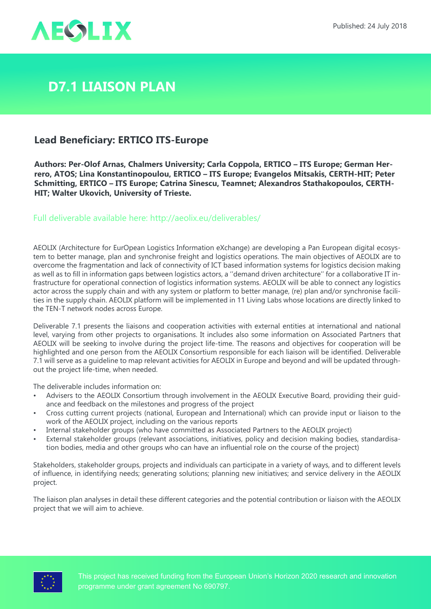



## **D7.1 Liaison Plan**

## **Lead Beneficiary: ERTICO ITS-Europe**

**Authors: Per-Olof Arnas, Chalmers University; Carla Coppola, ERTICO – ITS Europe; German Herrero, ATOS; Lina Konstantinopoulou, ERTICO – ITS Europe; Evangelos Mitsakis, CERTH-HIT; Peter Schmitting, ERTICO – ITS Europe; Catrina Sinescu, Teamnet; Alexandros Stathakopoulos, CERTH-HIT; Walter Ukovich, University of Trieste.**

Full deliverable available here: <http://aeolix.eu/deliverables/>

AEOLIX (Architecture for EurOpean Logistics Information eXchange) are developing a Pan European digital ecosystem to better manage, plan and synchronise freight and logistics operations. The main objectives of AEOLIX are to overcome the fragmentation and lack of connectivity of ICT based information systems for logistics decision making as well as to fill in information gaps between logistics actors, a ''demand driven architecture'' for a collaborative IT infrastructure for operational connection of logistics information systems. AEOLIX will be able to connect any logistics actor across the supply chain and with any system or platform to better manage, (re) plan and/or synchronise facilities in the supply chain. AEOLIX platform will be implemented in 11 Living Labs whose locations are directly linked to the TEN-T network nodes across Europe.

Deliverable 7.1 presents the liaisons and cooperation activities with external entities at international and national level, varying from other projects to organisations. It includes also some information on Associated Partners that AEOLIX will be seeking to involve during the project life-time. The reasons and objectives for cooperation will be highlighted and one person from the AEOLIX Consortium responsible for each liaison will be identified. Deliverable 7.1 will serve as a guideline to map relevant activities for AEOLIX in Europe and beyond and will be updated throughout the project life-time, when needed.

The deliverable includes information on:

- Advisers to the AEOLIX Consortium through involvement in the AEOLIX Executive Board, providing their guidance and feedback on the milestones and progress of the project
- Cross cutting current projects (national, European and International) which can provide input or liaison to the work of the AEOLIX project, including on the various reports
- Internal stakeholder groups (who have committed as Associated Partners to the AEOLIX project)
- External stakeholder groups (relevant associations, initiatives, policy and decision making bodies, standardisation bodies, media and other groups who can have an influential role on the course of the project)

Stakeholders, stakeholder groups, projects and individuals can participate in a variety of ways, and to different levels of influence, in identifying needs; generating solutions; planning new initiatives; and service delivery in the AEOLIX project.

The liaison plan analyses in detail these different categories and the potential contribution or liaison with the AEOLIX project that we will aim to achieve.